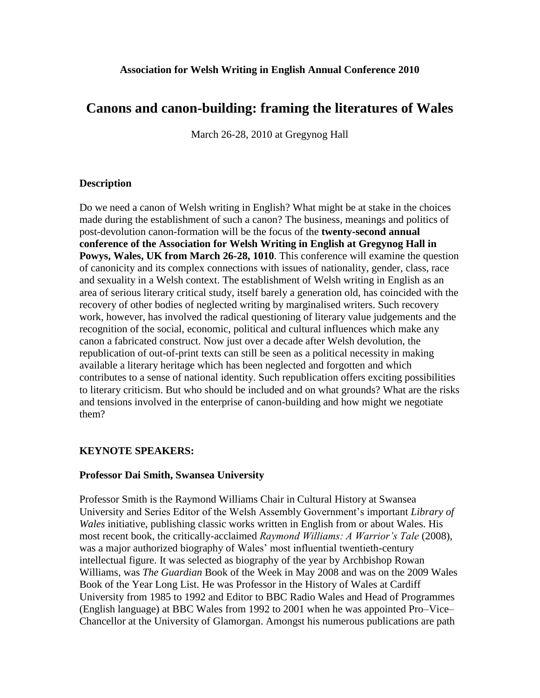# **Canons and canon-building: framing the literatures of Wales**

March 26-28, 2010 at Gregynog Hall

## **Description**

Do we need a canon of Welsh writing in English? What might be at stake in the choices made during the establishment of such a canon? The business, meanings and politics of post-devolution canon-formation will be the focus of the **twenty-second annual conference of the Association for Welsh Writing in English at Gregynog Hall in Powys, Wales, UK from March 26-28, 1010**. This conference will examine the question of canonicity and its complex connections with issues of nationality, gender, class, race and sexuality in a Welsh context. The establishment of Welsh writing in English as an area of serious literary critical study, itself barely a generation old, has coincided with the recovery of other bodies of neglected writing by marginalised writers. Such recovery work, however, has involved the radical questioning of literary value judgements and the recognition of the social, economic, political and cultural influences which make any canon a fabricated construct. Now just over a decade after Welsh devolution, the republication of out-of-print texts can still be seen as a political necessity in making available a literary heritage which has been neglected and forgotten and which contributes to a sense of national identity. Such republication offers exciting possibilities to literary criticism. But who should be included and on what grounds? What are the risks and tensions involved in the enterprise of canon-building and how might we negotiate them?

# **KEYNOTE SPEAKERS:**

### **Professor Dai Smith, Swansea University**

Professor Smith is the Raymond Williams Chair in Cultural History at Swansea University and Series Editor of the Welsh Assembly Government's important *Library of Wales* initiative, publishing classic works written in English from or about Wales. His most recent book, the critically-acclaimed *Raymond Williams: A Warrior's Tale* (2008), was a major authorized biography of Wales' most influential twentieth-century intellectual figure. It was selected as biography of the year by Archbishop Rowan Williams, was *The Guardian* Book of the Week in May 2008 and was on the 2009 Wales Book of the Year Long List. He was Professor in the History of Wales at Cardiff University from 1985 to 1992 and Editor to BBC Radio Wales and Head of Programmes (English language) at BBC Wales from 1992 to 2001 when he was appointed Pro–Vice– Chancellor at the University of Glamorgan. Amongst his numerous publications are path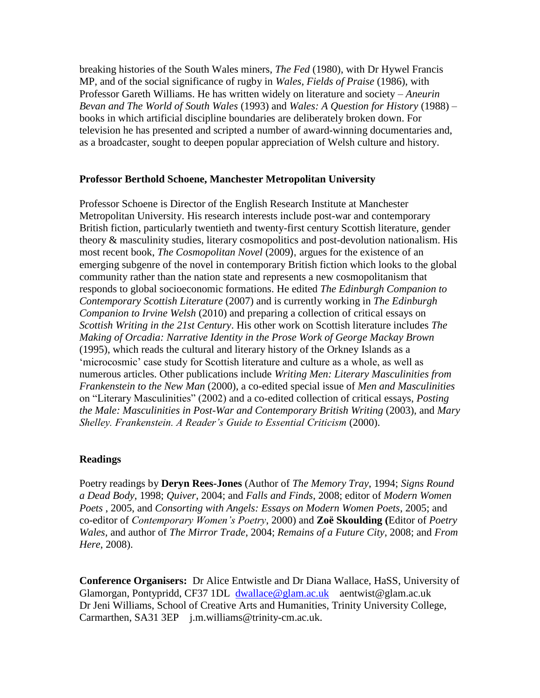breaking histories of the South Wales miners, *The Fed* (1980), with Dr Hywel Francis MP, and of the social significance of rugby in *Wales, Fields of Praise* (1986), with Professor Gareth Williams. He has written widely on literature and society – *Aneurin Bevan and The World of South Wales* (1993) and *Wales: A Question for History* (1988) – books in which artificial discipline boundaries are deliberately broken down. For television he has presented and scripted a number of award-winning documentaries and, as a broadcaster, sought to deepen popular appreciation of Welsh culture and history.

#### **Professor Berthold Schoene, Manchester Metropolitan University**

Professor Schoene is Director of the English Research Institute at Manchester Metropolitan University. His research interests include post-war and contemporary British fiction, particularly twentieth and twenty-first century Scottish literature, gender theory & masculinity studies, literary cosmopolitics and post-devolution nationalism. His most recent book, *The Cosmopolitan Novel* (2009), argues for the existence of an emerging subgenre of the novel in contemporary British fiction which looks to the global community rather than the nation state and represents a new cosmopolitanism that responds to global socioeconomic formations. He edited *The Edinburgh Companion to Contemporary Scottish Literature* (2007) and is currently working in *The Edinburgh Companion to Irvine Welsh* (2010) and preparing a collection of critical essays on *Scottish Writing in the 21st Century*. His other work on Scottish literature includes *The Making of Orcadia: Narrative Identity in the Prose Work of George Mackay Brown* (1995), which reads the cultural and literary history of the Orkney Islands as a 'microcosmic' case study for Scottish literature and culture as a whole, as well as numerous articles. Other publications include *Writing Men: Literary Masculinities from Frankenstein to the New Man* (2000), a co-edited special issue of *Men and Masculinities* on "Literary Masculinities" (2002) and a co-edited collection of critical essays, *Posting the Male: Masculinities in Post-War and Contemporary British Writing* (2003), and *Mary Shelley. Frankenstein. A Reader's Guide to Essential Criticism* (2000).

#### **Readings**

Poetry readings by **Deryn Rees-Jones** (Author of *The Memory Tray*, 1994; *Signs Round a Dead Body*, 1998; *Quiver*, 2004; and *Falls and Finds*, 2008; editor of *Modern Women Poets* , 2005, and *Consorting with Angels: Essays on Modern Women Poets*, 2005; and co-editor of *Contemporary Women's Poetry*, 2000) and **Zoë Skoulding (**Editor of *Poetry Wales,* and author of *The Mirror Trade*, 2004; *Remains of a Future City*, 2008; and *From Here*, 2008).

**Conference Organisers:** Dr Alice Entwistle and Dr Diana Wallace, HaSS, University of Glamorgan, Pontypridd, CF37 1DL[dwallace@glam.ac.uk](mailto:dwallace@glam.ac.uk) aentwist@glam.ac.uk Dr Jeni Williams, School of Creative Arts and Humanities, Trinity University College, Carmarthen, SA31 3EP j.m.williams@trinity-cm.ac.uk.